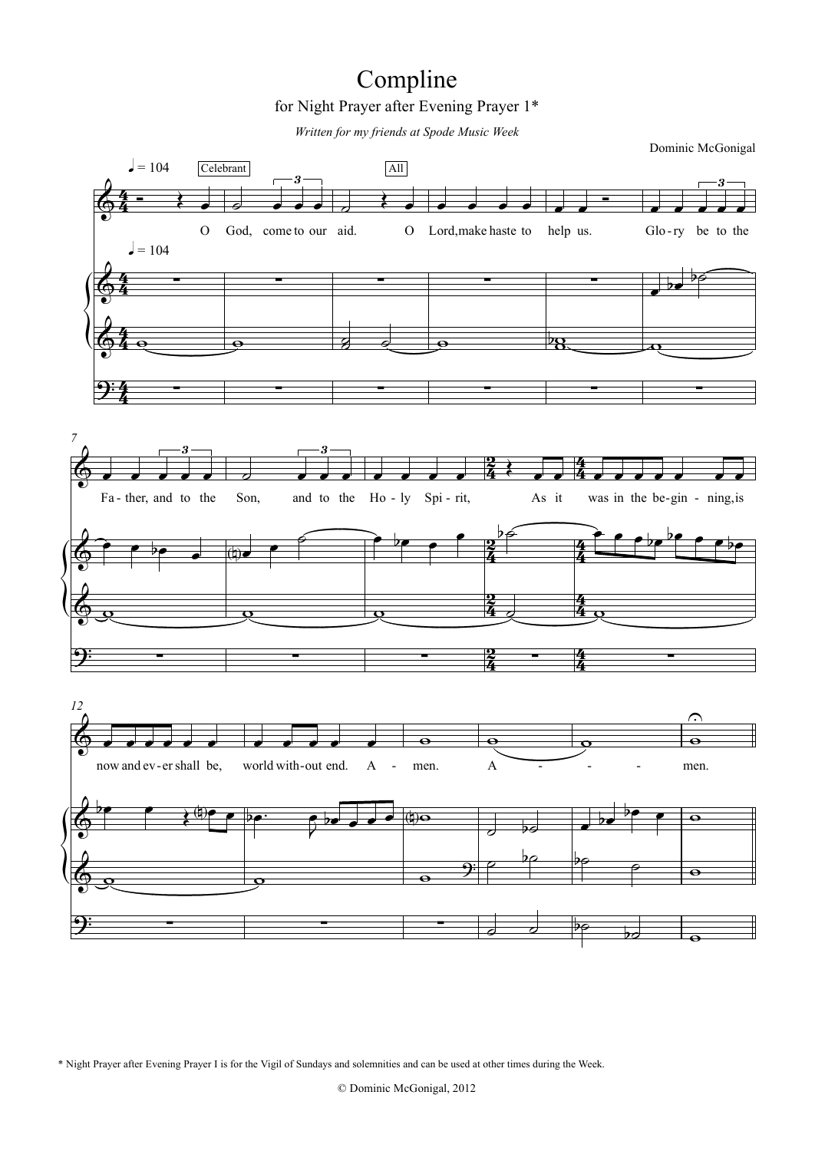# for Night Prayer after Evening Prayer 1\* Compline

*Written for my friends at Spode Music Week*



\* Night Prayer after Evening Prayer I is for the Vigil of Sundays and solemnities and can be used at other times during the Week.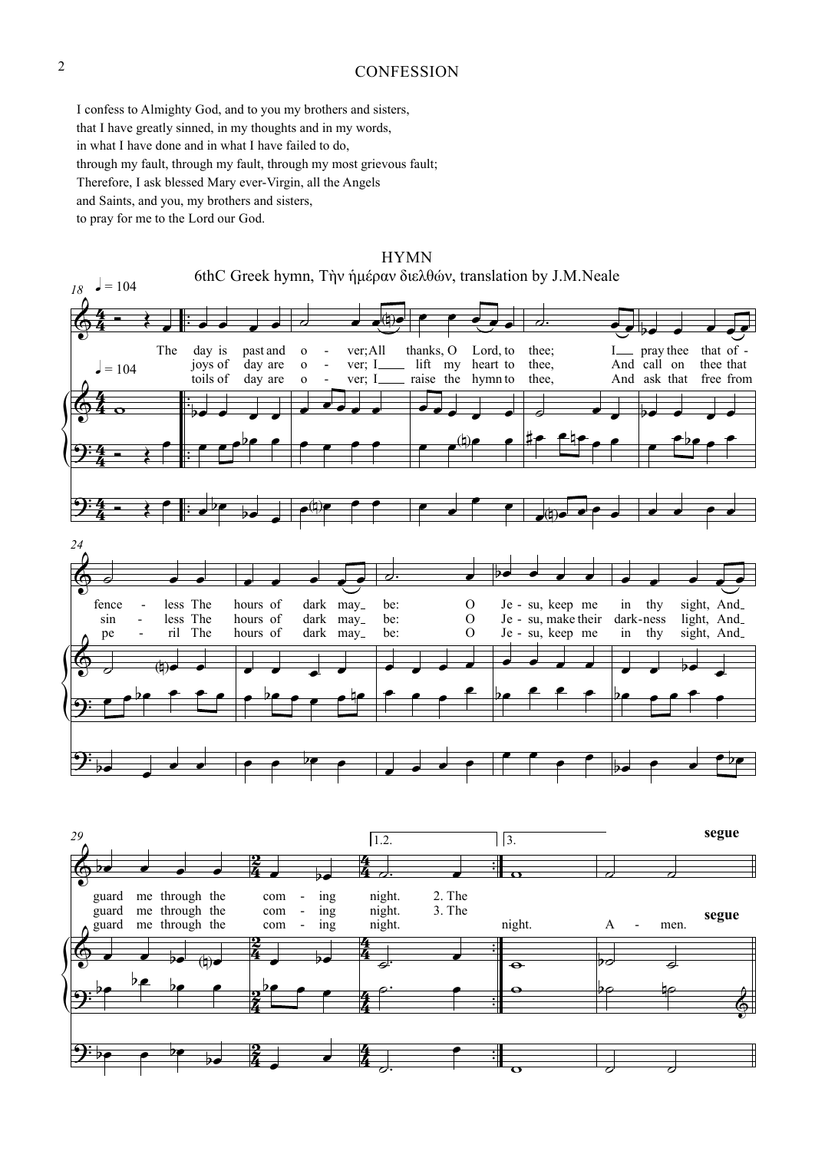#### **CONFESSION**

I confess to Almighty God, and to you my brothers and sisters, that I have greatly sinned, in my thoughts and in my words, in what I have done and in what I have failed to do, through my fault, through my fault, through my most grievous fault; Therefore, I ask blessed Mary ever-Virgin, all the Angels and Saints, and you, my brothers and sisters, to pray for me to the Lord our God.

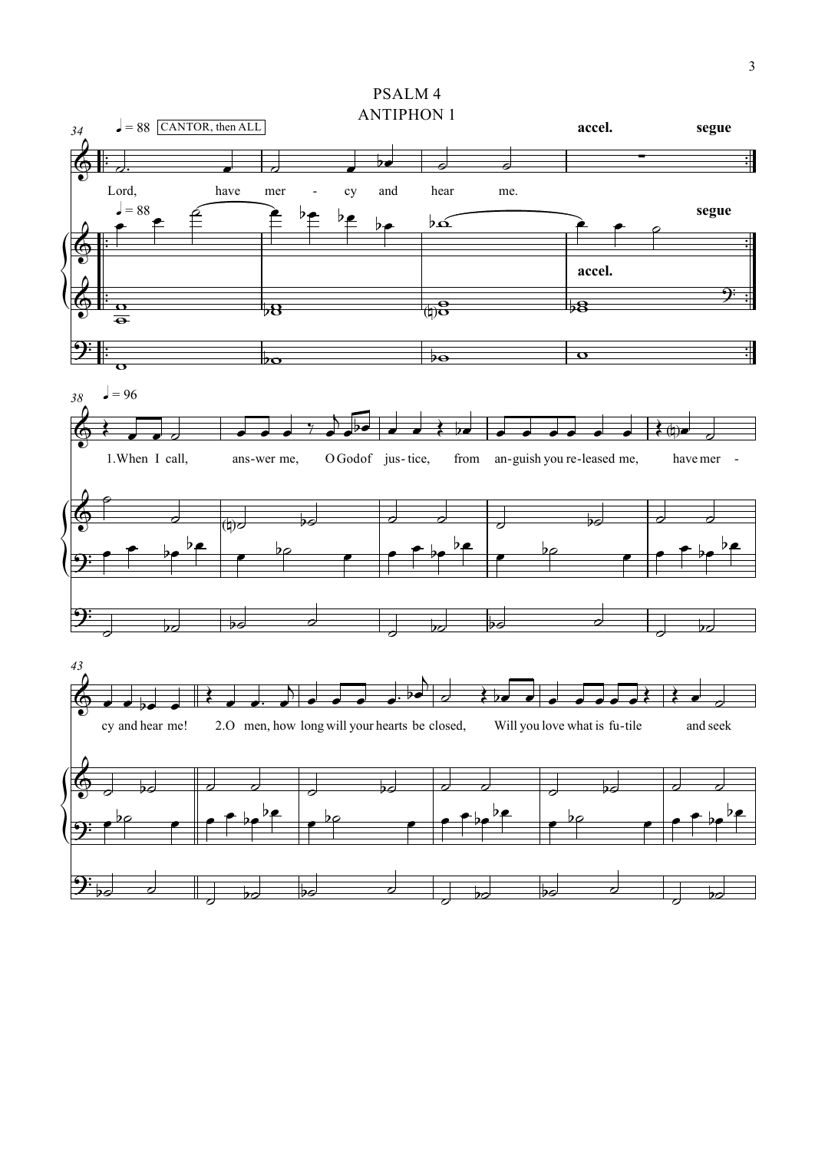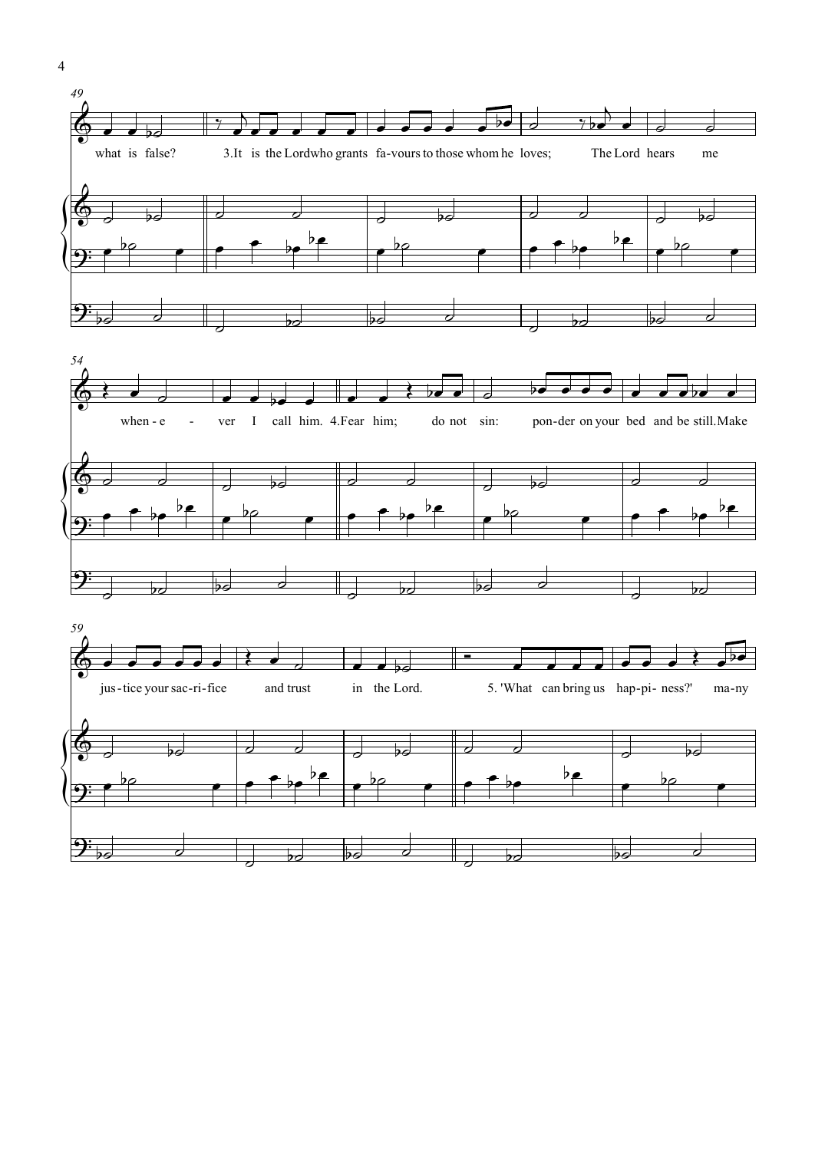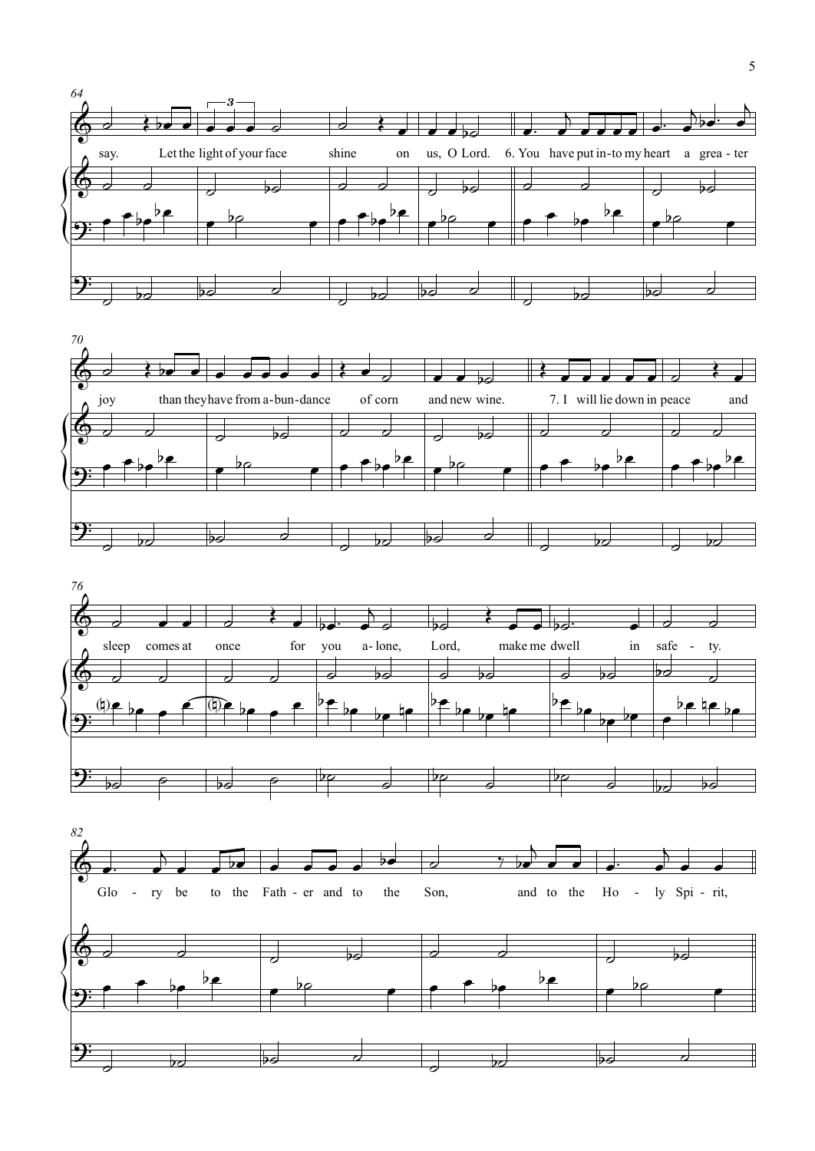





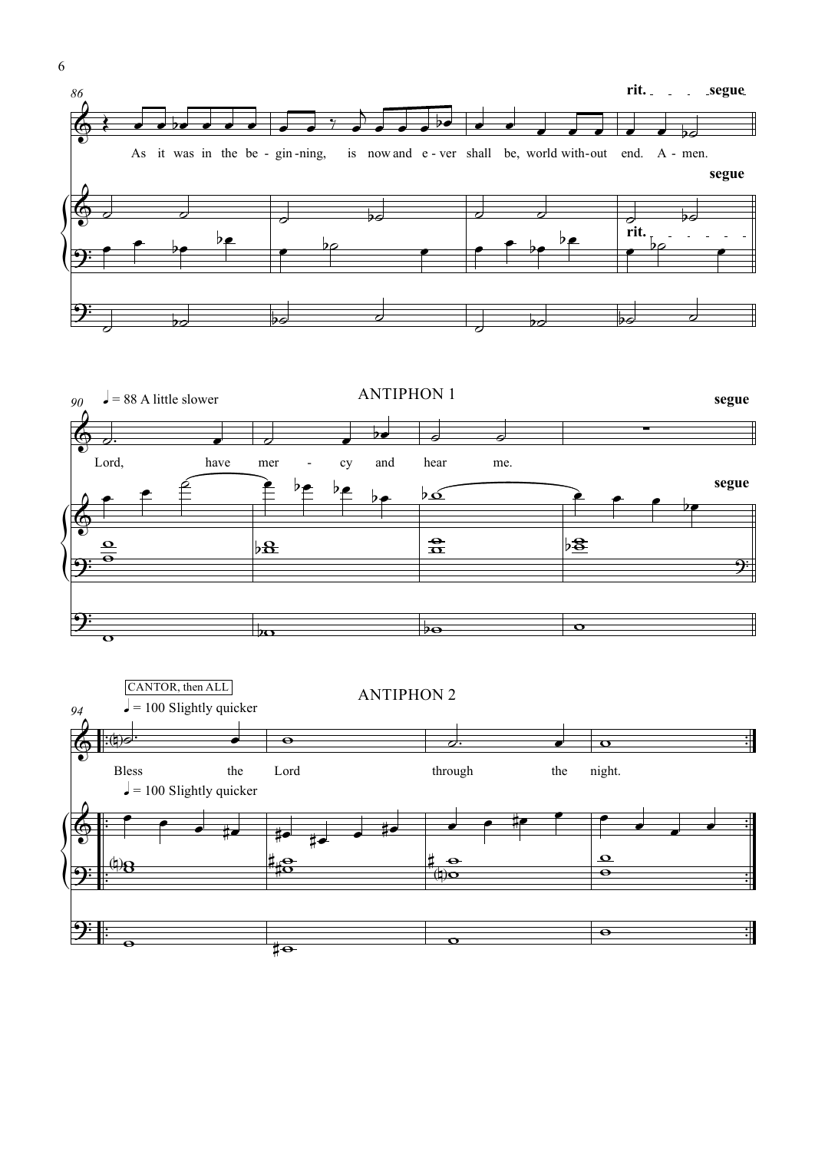





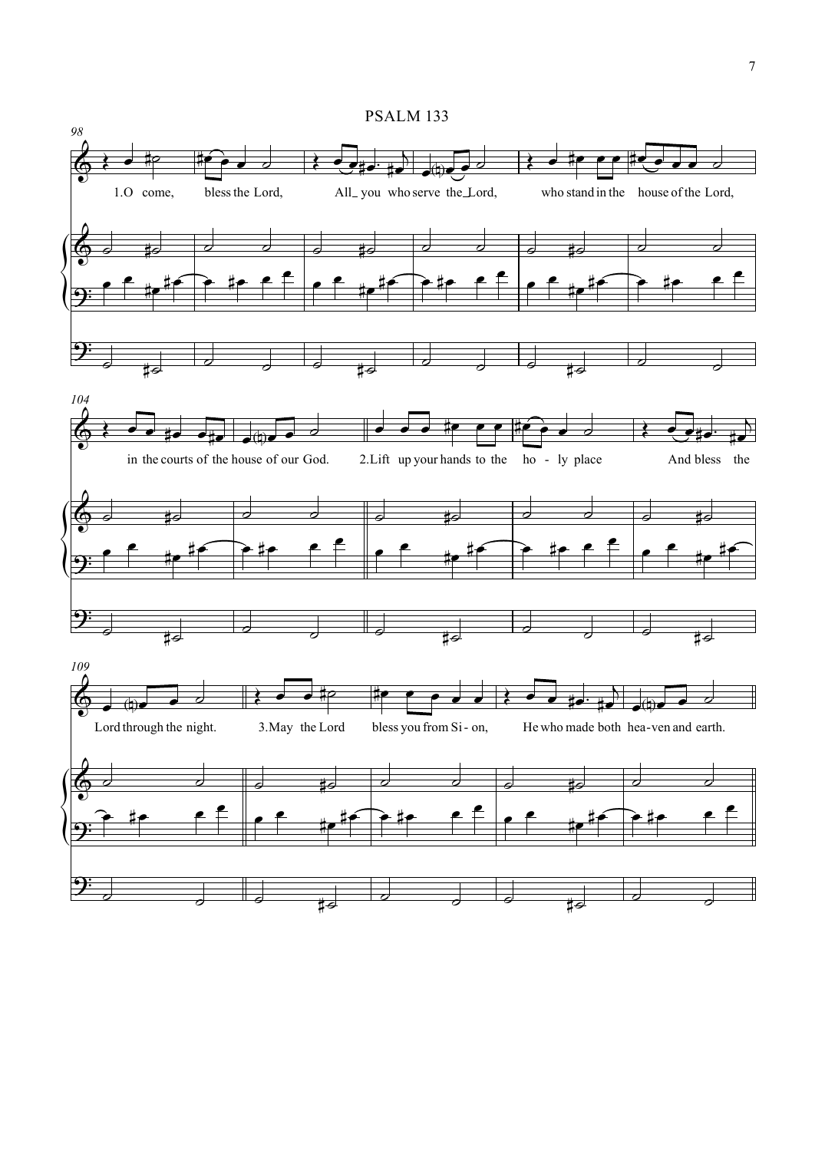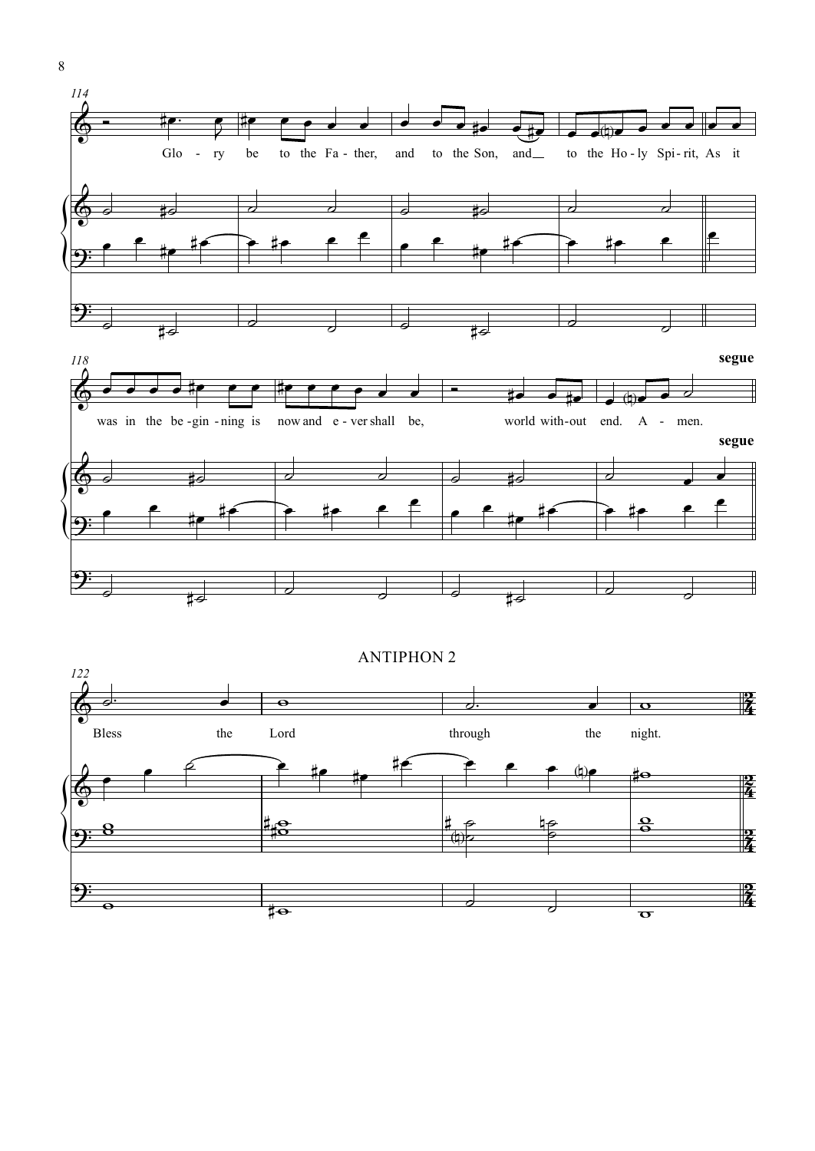



 $\boldsymbol{8}$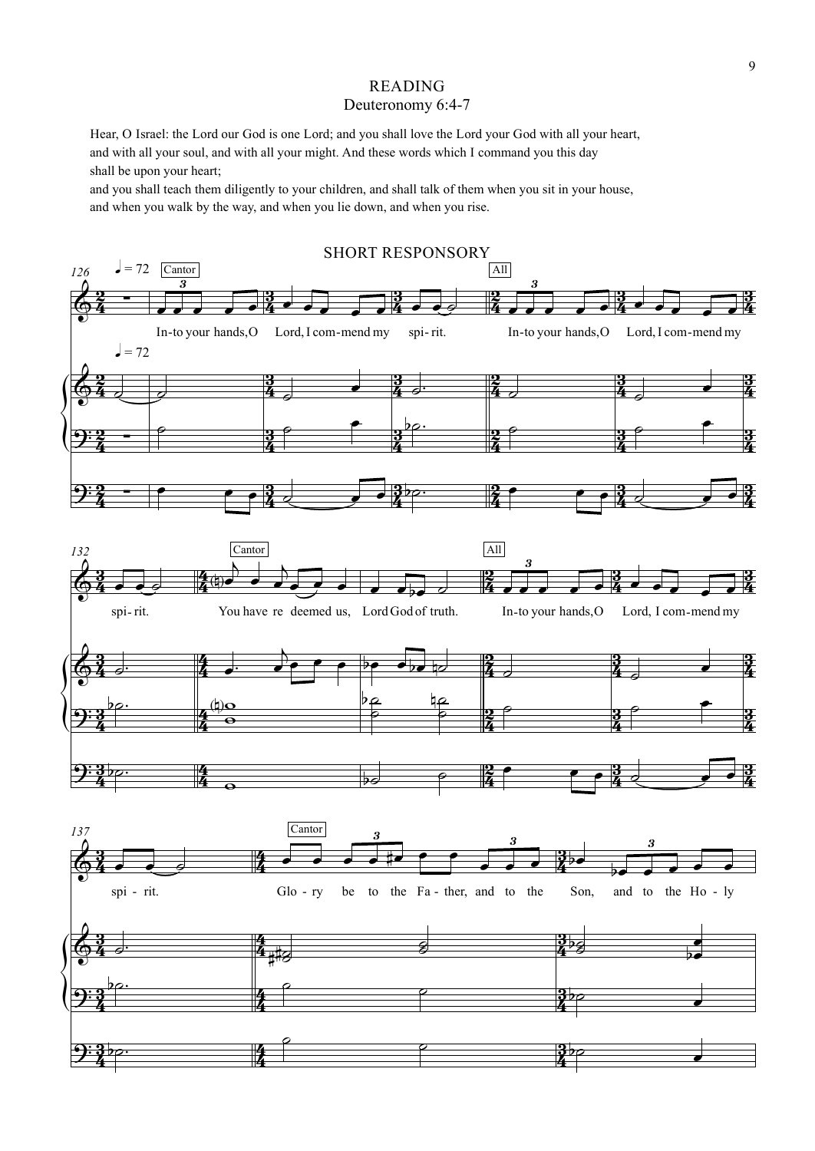### READING Deuteronomy 6:4-7

Hear, O Israel: the Lord our God is one Lord; and you shall love the Lord your God with all your heart, and with all your soul, and with all your might. And these words which I command you this day shall be upon your heart;

and you shall teach them diligently to your children, and shall talk of them when you sit in your house, and when you walk by the way, and when you lie down, and when you rise.

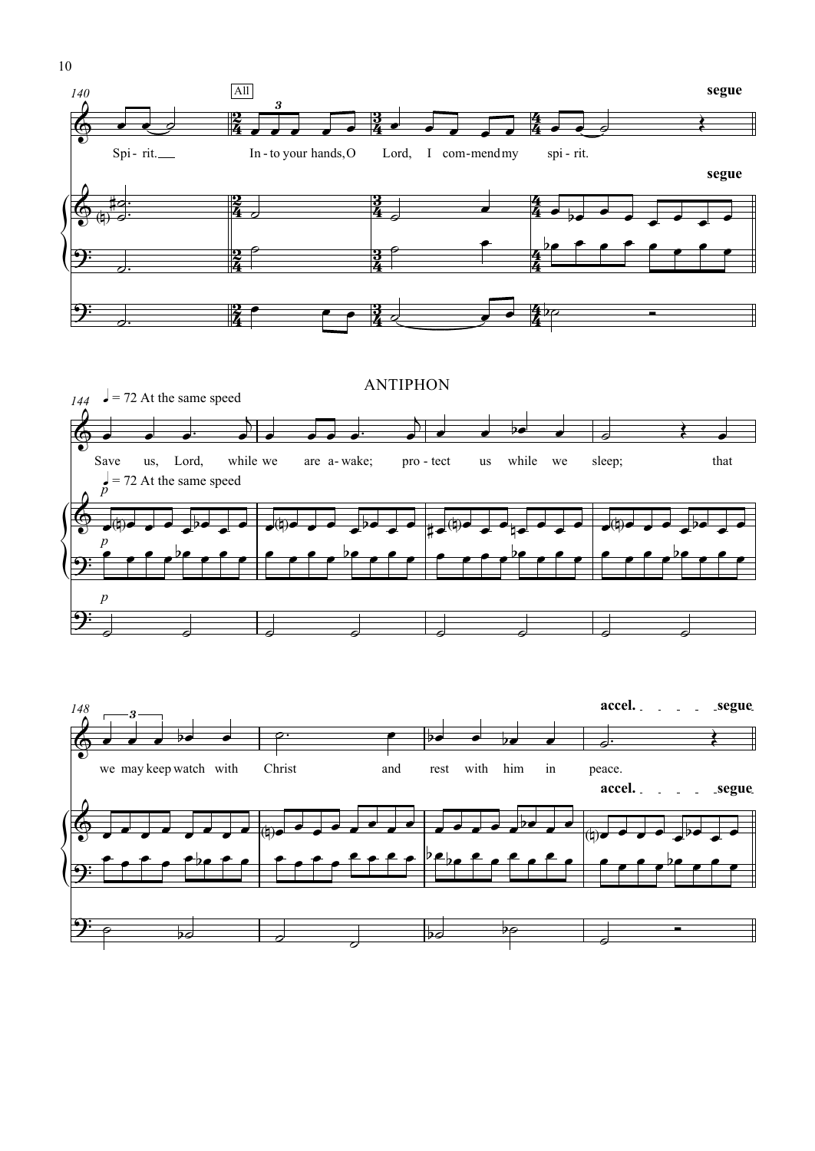



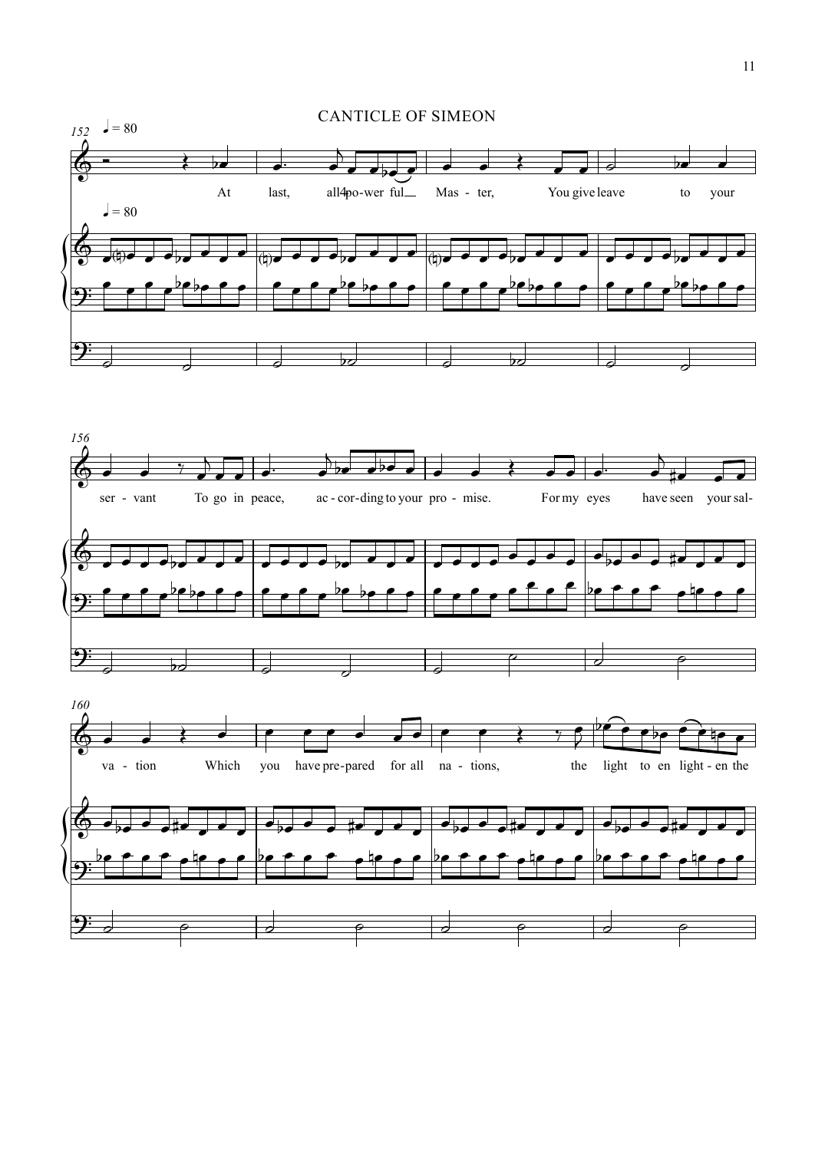



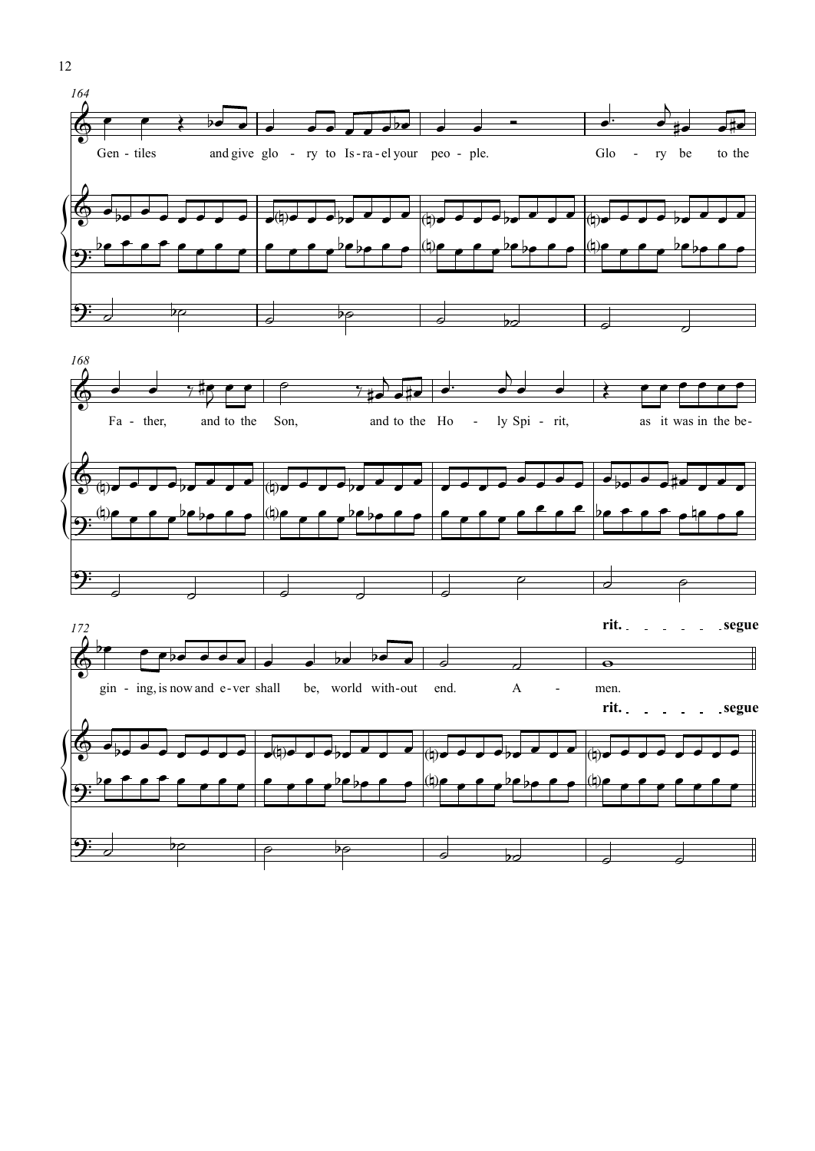



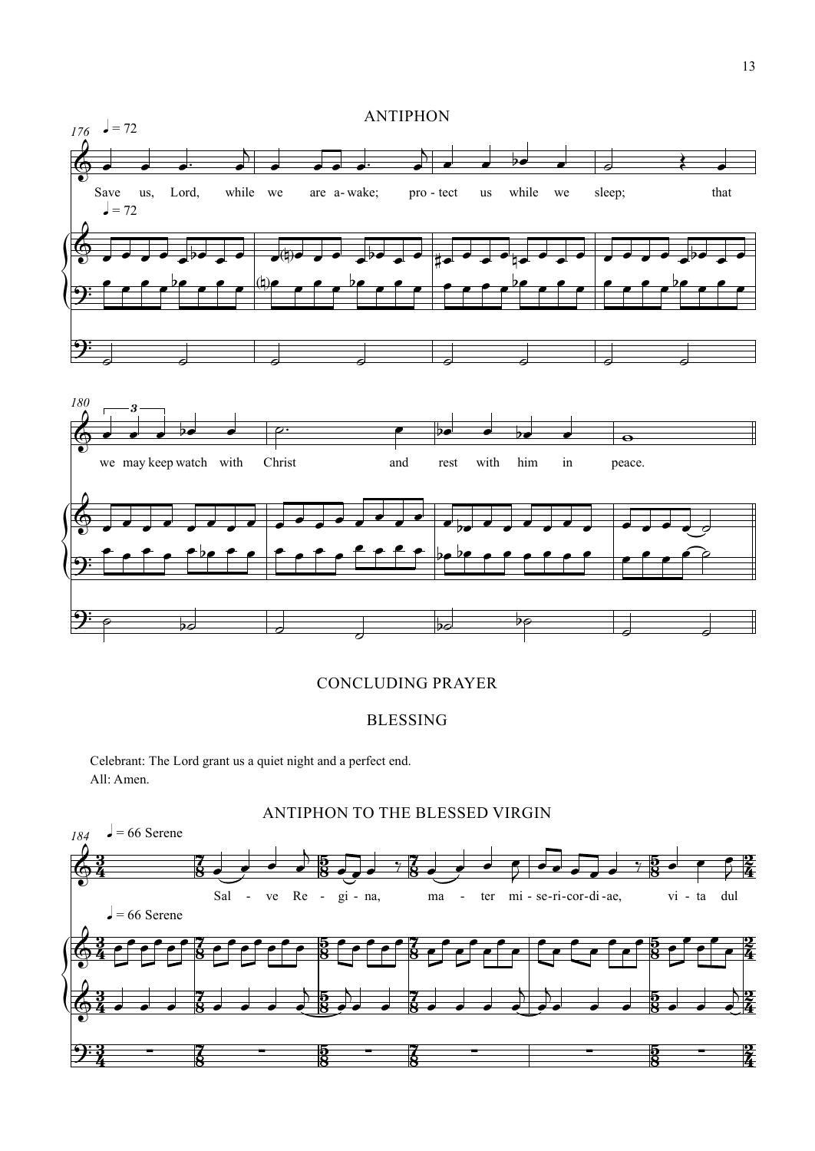

#### CONCLUDING PRAYER

## BLESSING

Celebrant: The Lord grant us a quiet night and a perfect end. All: Amen.

\$

*184*



ANTIPHON TO THE BLESSED VIRGIN

 $\frac{3}{2}$  $\frac{3}{4}$  $\frac{1}{2}$  - $\frac{7}{8}$  $\frac{5}{2}$  - $\frac{5}{8}$  $\frac{2}{3}$  -8  $\frac{5}{2}$  - $\frac{5}{8}$  $\frac{2}{7}$  $\frac{2}{4}$  $2\frac{1}{2}$   $2\frac{1}{2}$   $3\frac{1}{2}$   $3\frac{1}{2}$   $3\frac{1}{2}$   $3\frac{1}{2}$   $3\frac{1}{2}$   $3\frac{1}{2}$   $3\frac{1}{2}$   $3\frac{1}{2}$   $3\frac{1}{2}$   $3\frac{1}{2}$   $3\frac{1}{2}$   $3\frac{1}{2}$   $3\frac{1}{2}$   $3\frac{1}{2}$   $3\frac{1}{2}$   $3\frac{1}{2}$   $3\frac{1}{2}$   $3\frac{1}{2}$ 

 $\frac{2}{7}$  $\frac{2}{4}$ 

 $\frac{2}{7}$  $\frac{2}{4}$ 

 $\frac{2}{7}$  $\frac{2}{4}$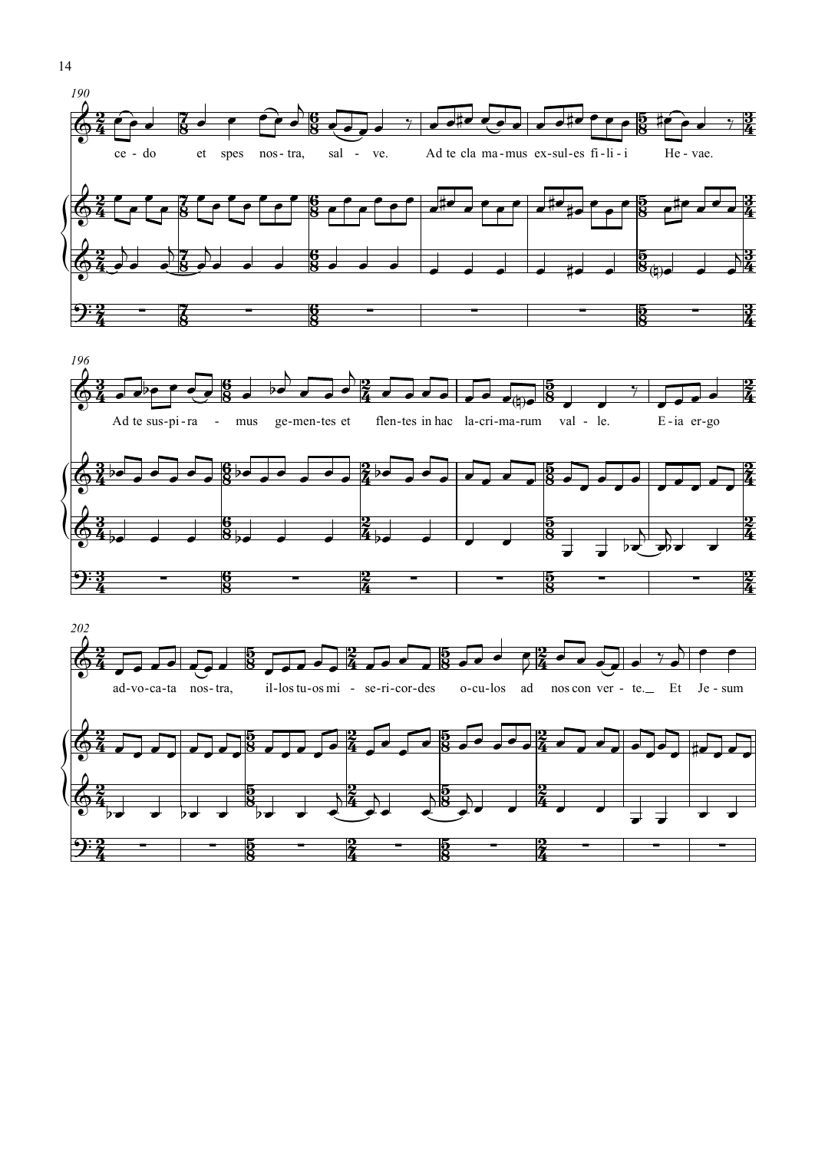